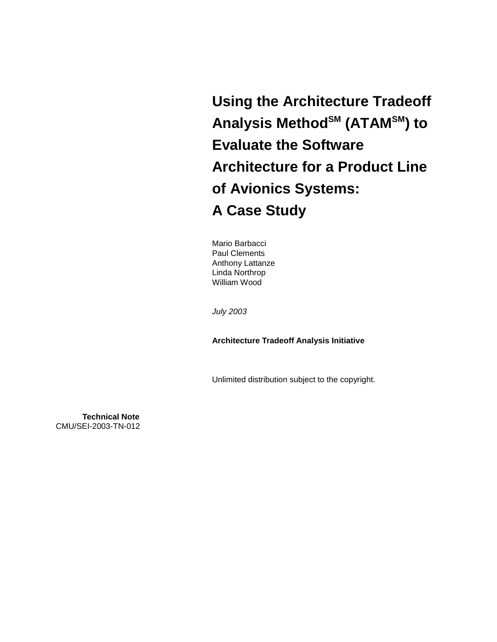**Using the Architecture Tradeoff**  Analysis Method<sup>SM</sup> (ATAM<sup>SM</sup>) to **Evaluate the Software Architecture for a Product Line of Avionics Systems: A Case Study** 

Mario Barbacci Paul Clements Anthony Lattanze Linda Northrop William Wood

*July 2003* 

**Architecture Tradeoff Analysis Initiative** 

Unlimited distribution subject to the copyright.

**Technical Note** CMU/SEI-2003-TN-012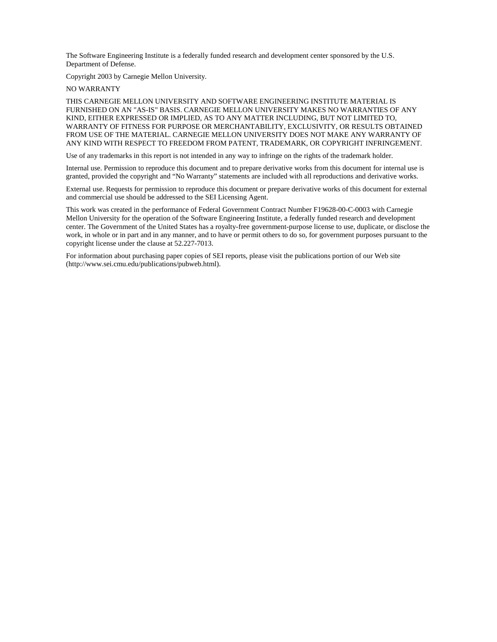The Software Engineering Institute is a federally funded research and development center sponsored by the U.S. Department of Defense.

Copyright 2003 by Carnegie Mellon University.

NO WARRANTY

THIS CARNEGIE MELLON UNIVERSITY AND SOFTWARE ENGINEERING INSTITUTE MATERIAL IS FURNISHED ON AN "AS-IS" BASIS. CARNEGIE MELLON UNIVERSITY MAKES NO WARRANTIES OF ANY KIND, EITHER EXPRESSED OR IMPLIED, AS TO ANY MATTER INCLUDING, BUT NOT LIMITED TO, WARRANTY OF FITNESS FOR PURPOSE OR MERCHANTABILITY, EXCLUSIVITY, OR RESULTS OBTAINED FROM USE OF THE MATERIAL. CARNEGIE MELLON UNIVERSITY DOES NOT MAKE ANY WARRANTY OF ANY KIND WITH RESPECT TO FREEDOM FROM PATENT, TRADEMARK, OR COPYRIGHT INFRINGEMENT.

Use of any trademarks in this report is not intended in any way to infringe on the rights of the trademark holder.

Internal use. Permission to reproduce this document and to prepare derivative works from this document for internal use is granted, provided the copyright and "No Warranty" statements are included with all reproductions and derivative works.

External use. Requests for permission to reproduce this document or prepare derivative works of this document for external and commercial use should be addressed to the SEI Licensing Agent.

This work was created in the performance of Federal Government Contract Number F19628-00-C-0003 with Carnegie Mellon University for the operation of the Software Engineering Institute, a federally funded research and development center. The Government of the United States has a royalty-free government-purpose license to use, duplicate, or disclose the work, in whole or in part and in any manner, and to have or permit others to do so, for government purposes pursuant to the copyright license under the clause at 52.227-7013.

For information about purchasing paper copies of SEI reports, please visit the publications portion of our Web site (http://www.sei.cmu.edu/publications/pubweb.html).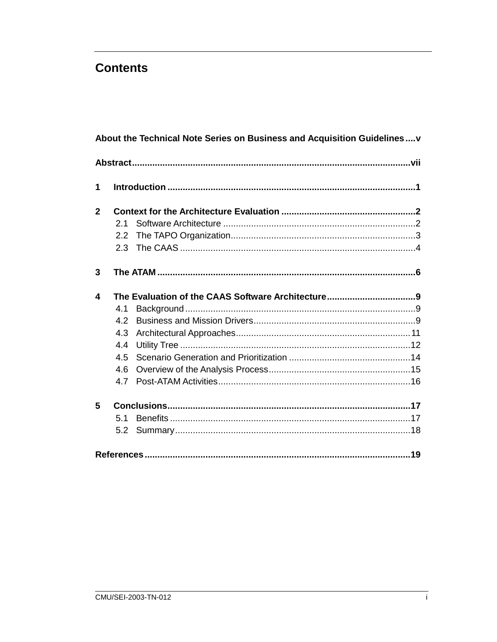### **Contents**

|              |               | About the Technical Note Series on Business and Acquisition Guidelinesv |  |
|--------------|---------------|-------------------------------------------------------------------------|--|
|              |               |                                                                         |  |
| 1            |               |                                                                         |  |
| $\mathbf{2}$ |               |                                                                         |  |
|              | 2.1           |                                                                         |  |
|              | $2.2^{\circ}$ |                                                                         |  |
|              | $2.3 -$       |                                                                         |  |
| 3            |               |                                                                         |  |
| 4            |               |                                                                         |  |
|              | 4.1           |                                                                         |  |
|              | 4.2           |                                                                         |  |
|              | 4.3           |                                                                         |  |
|              | 4.4           |                                                                         |  |
|              | 4.5           |                                                                         |  |
|              | 4.6           |                                                                         |  |
|              | 4.7           |                                                                         |  |
| 5            |               |                                                                         |  |
|              | 5.1           |                                                                         |  |
|              | 5.2           |                                                                         |  |
|              |               |                                                                         |  |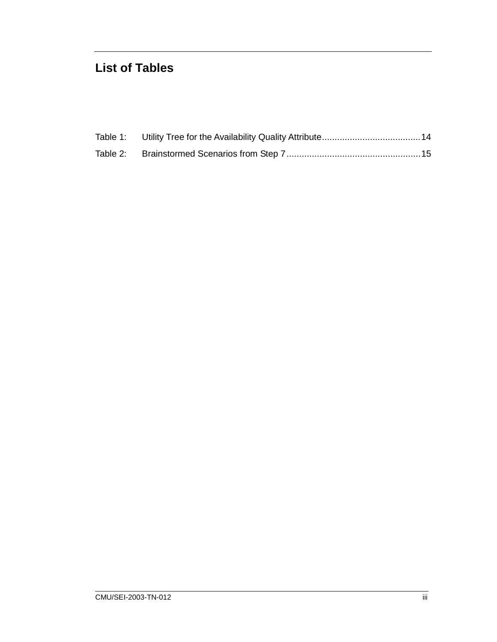## **List of Tables**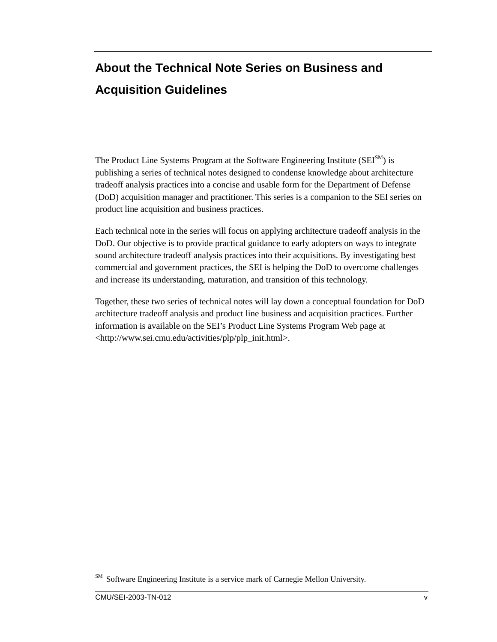# **About the Technical Note Series on Business and Acquisition Guidelines**

The Product Line Systems Program at the Software Engineering Institute  $(SEI^{SM})$  is publishing a series of technical notes designed to condense knowledge about architecture tradeoff analysis practices into a concise and usable form for the Department of Defense (DoD) acquisition manager and practitioner. This series is a companion to the SEI series on product line acquisition and business practices.

Each technical note in the series will focus on applying architecture tradeoff analysis in the DoD. Our objective is to provide practical guidance to early adopters on ways to integrate sound architecture tradeoff analysis practices into their acquisitions. By investigating best commercial and government practices, the SEI is helping the DoD to overcome challenges and increase its understanding, maturation, and transition of this technology.

Together, these two series of technical notes will lay down a conceptual foundation for DoD architecture tradeoff analysis and product line business and acquisition practices. Further information is available on the SEI's Product Line Systems Program Web page at <http://www.sei.cmu.edu/activities/plp/plp\_init.html>.

 $\overline{a}$ 

SM Software Engineering Institute is a service mark of Carnegie Mellon University.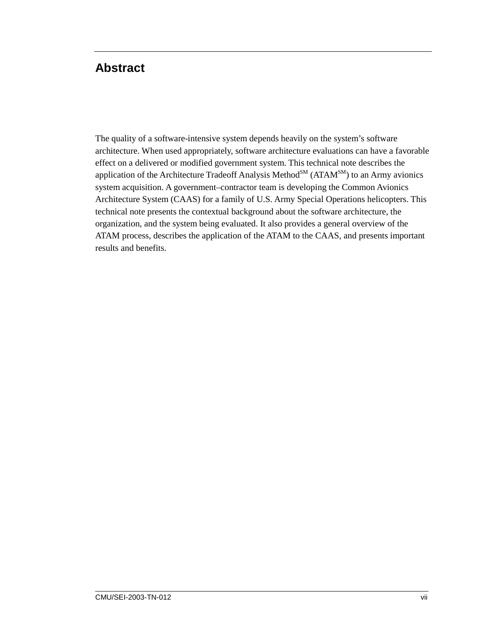## **Abstract**

The quality of a software-intensive system depends heavily on the system's software architecture. When used appropriately, software architecture evaluations can have a favorable effect on a delivered or modified government system. This technical note describes the application of the Architecture Tradeoff Analysis Method<sup>SM</sup> ( $ATAM<sup>SM</sup>$ ) to an Army avionics system acquisition. A government–contractor team is developing the Common Avionics Architecture System (CAAS) for a family of U.S. Army Special Operations helicopters. This technical note presents the contextual background about the software architecture, the organization, and the system being evaluated. It also provides a general overview of the ATAM process, describes the application of the ATAM to the CAAS, and presents important results and benefits.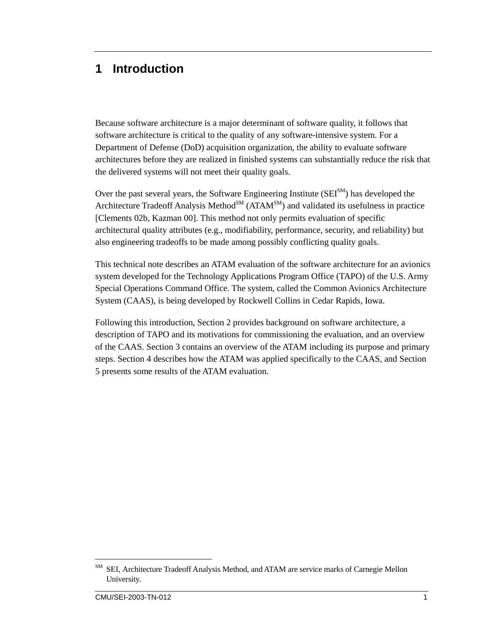### **1 Introduction**

Because software architecture is a major determinant of software quality, it follows that software architecture is critical to the quality of any software-intensive system. For a Department of Defense (DoD) acquisition organization, the ability to evaluate software architectures before they are realized in finished systems can substantially reduce the risk that the delivered systems will not meet their quality goals.

Over the past several years, the Software Engineering Institute  $(SEI<sub>SM</sub>)$  has developed the Architecture Tradeoff Analysis Method<sup>SM</sup> (ATAM<sup>SM</sup>) and validated its usefulness in practice [Clements 02b, Kazman 00]. This method not only permits evaluation of specific architectural quality attributes (e.g., modifiability, performance, security, and reliability) but also engineering tradeoffs to be made among possibly conflicting quality goals.

This technical note describes an ATAM evaluation of the software architecture for an avionics system developed for the Technology Applications Program Office (TAPO) of the U.S. Army Special Operations Command Office. The system, called the Common Avionics Architecture System (CAAS), is being developed by Rockwell Collins in Cedar Rapids, Iowa.

Following this introduction, Section 2 provides background on software architecture, a description of TAPO and its motivations for commissioning the evaluation, and an overview of the CAAS. Section 3 contains an overview of the ATAM including its purpose and primary steps. Section 4 describes how the ATAM was applied specifically to the CAAS, and Section 5 presents some results of the ATAM evaluation.

 $\overline{a}$ 

SM SEI, Architecture Tradeoff Analysis Method, and ATAM are service marks of Carnegie Mellon University.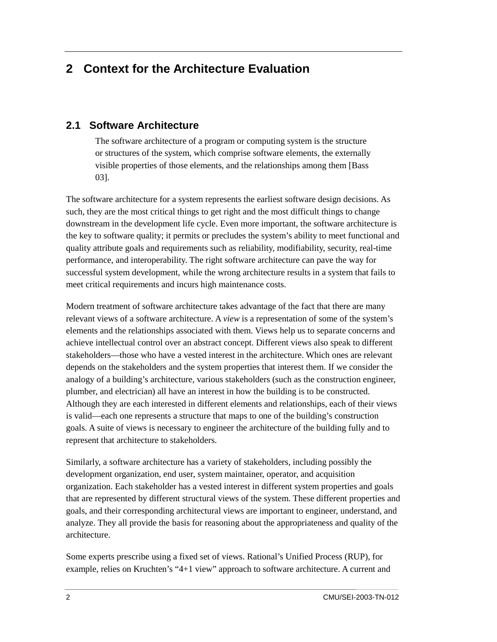### **2 Context for the Architecture Evaluation**

#### **2.1 Software Architecture**

The software architecture of a program or computing system is the structure or structures of the system, which comprise software elements, the externally visible properties of those elements, and the relationships among them [Bass 03].

The software architecture for a system represents the earliest software design decisions. As such, they are the most critical things to get right and the most difficult things to change downstream in the development life cycle. Even more important, the software architecture is the key to software quality; it permits or precludes the system's ability to meet functional and quality attribute goals and requirements such as reliability, modifiability, security, real-time performance, and interoperability. The right software architecture can pave the way for successful system development, while the wrong architecture results in a system that fails to meet critical requirements and incurs high maintenance costs.

Modern treatment of software architecture takes advantage of the fact that there are many relevant views of a software architecture. A *view* is a representation of some of the system's elements and the relationships associated with them. Views help us to separate concerns and achieve intellectual control over an abstract concept. Different views also speak to different stakeholders—those who have a vested interest in the architecture. Which ones are relevant depends on the stakeholders and the system properties that interest them. If we consider the analogy of a building's architecture, various stakeholders (such as the construction engineer, plumber, and electrician) all have an interest in how the building is to be constructed. Although they are each interested in different elements and relationships, each of their views is valid—each one represents a structure that maps to one of the building's construction goals. A suite of views is necessary to engineer the architecture of the building fully and to represent that architecture to stakeholders.

Similarly, a software architecture has a variety of stakeholders, including possibly the development organization, end user, system maintainer, operator, and acquisition organization. Each stakeholder has a vested interest in different system properties and goals that are represented by different structural views of the system. These different properties and goals, and their corresponding architectural views are important to engineer, understand, and analyze. They all provide the basis for reasoning about the appropriateness and quality of the architecture.

Some experts prescribe using a fixed set of views. Rational's Unified Process (RUP), for example, relies on Kruchten's "4+1 view" approach to software architecture. A current and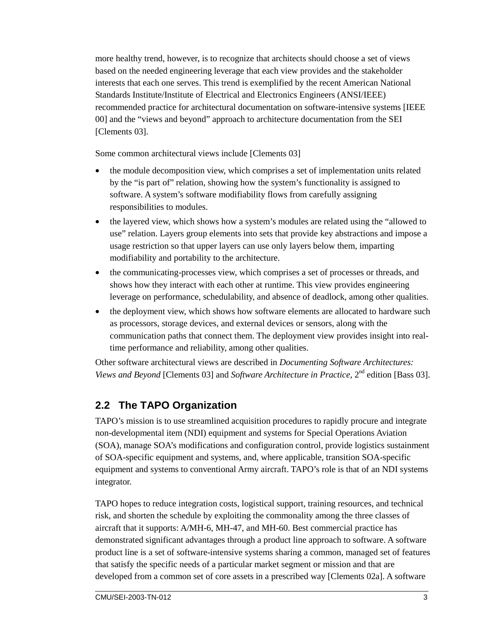more healthy trend, however, is to recognize that architects should choose a set of views based on the needed engineering leverage that each view provides and the stakeholder interests that each one serves. This trend is exemplified by the recent American National Standards Institute/Institute of Electrical and Electronics Engineers (ANSI/IEEE) recommended practice for architectural documentation on software-intensive systems [IEEE 00] and the "views and beyond" approach to architecture documentation from the SEI [Clements 03].

Some common architectural views include [Clements 03]

- the module decomposition view, which comprises a set of implementation units related by the "is part of" relation, showing how the system's functionality is assigned to software. A system's software modifiability flows from carefully assigning responsibilities to modules.
- the layered view, which shows how a system's modules are related using the "allowed to" use" relation. Layers group elements into sets that provide key abstractions and impose a usage restriction so that upper layers can use only layers below them, imparting modifiability and portability to the architecture.
- the communicating-processes view, which comprises a set of processes or threads, and shows how they interact with each other at runtime. This view provides engineering leverage on performance, schedulability, and absence of deadlock, among other qualities.
- the deployment view, which shows how software elements are allocated to hardware such as processors, storage devices, and external devices or sensors, along with the communication paths that connect them. The deployment view provides insight into realtime performance and reliability, among other qualities.

Other software architectural views are described in *Documenting Software Architectures: Views and Beyond* [Clements 03] and *Software Architecture in Practice*, 2<sup>nd</sup> edition [Bass 03].

### **2.2 The TAPO Organization**

TAPO's mission is to use streamlined acquisition procedures to rapidly procure and integrate non-developmental item (NDI) equipment and systems for Special Operations Aviation (SOA), manage SOA's modifications and configuration control, provide logistics sustainment of SOA-specific equipment and systems, and, where applicable, transition SOA-specific equipment and systems to conventional Army aircraft. TAPO's role is that of an NDI systems integrator.

TAPO hopes to reduce integration costs, logistical support, training resources, and technical risk, and shorten the schedule by exploiting the commonality among the three classes of aircraft that it supports: A/MH-6, MH-47, and MH-60. Best commercial practice has demonstrated significant advantages through a product line approach to software. A software product line is a set of software-intensive systems sharing a common, managed set of features that satisfy the specific needs of a particular market segment or mission and that are developed from a common set of core assets in a prescribed way [Clements 02a]. A software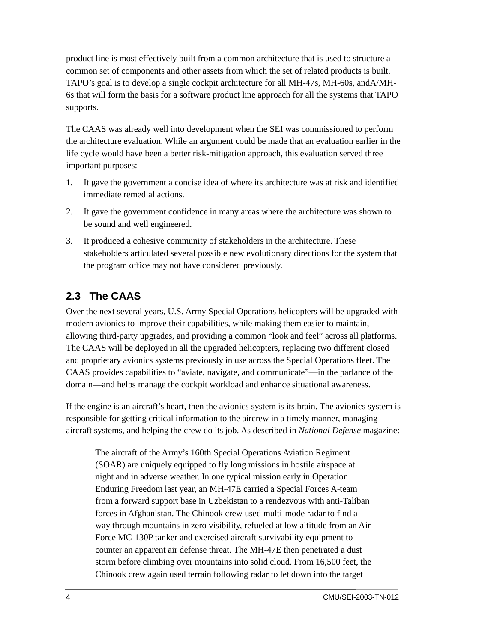product line is most effectively built from a common architecture that is used to structure a common set of components and other assets from which the set of related products is built. TAPO's goal is to develop a single cockpit architecture for all MH-47s, MH-60s, andA/MH-6s that will form the basis for a software product line approach for all the systems that TAPO supports.

The CAAS was already well into development when the SEI was commissioned to perform the architecture evaluation. While an argument could be made that an evaluation earlier in the life cycle would have been a better risk-mitigation approach, this evaluation served three important purposes:

- 1. It gave the government a concise idea of where its architecture was at risk and identified immediate remedial actions.
- 2. It gave the government confidence in many areas where the architecture was shown to be sound and well engineered.
- 3. It produced a cohesive community of stakeholders in the architecture. These stakeholders articulated several possible new evolutionary directions for the system that the program office may not have considered previously.

### **2.3 The CAAS**

Over the next several years, U.S. Army Special Operations helicopters will be upgraded with modern avionics to improve their capabilities, while making them easier to maintain, allowing third-party upgrades, and providing a common "look and feel" across all platforms. The CAAS will be deployed in all the upgraded helicopters, replacing two different closed and proprietary avionics systems previously in use across the Special Operations fleet. The CAAS provides capabilities to "aviate, navigate, and communicate"—in the parlance of the domain—and helps manage the cockpit workload and enhance situational awareness.

If the engine is an aircraft's heart, then the avionics system is its brain. The avionics system is responsible for getting critical information to the aircrew in a timely manner, managing aircraft systems, and helping the crew do its job. As described in *National Defense* magazine:

The aircraft of the Army's 160th Special Operations Aviation Regiment (SOAR) are uniquely equipped to fly long missions in hostile airspace at night and in adverse weather. In one typical mission early in Operation Enduring Freedom last year, an MH-47E carried a Special Forces A-team from a forward support base in Uzbekistan to a rendezvous with anti-Taliban forces in Afghanistan. The Chinook crew used multi-mode radar to find a way through mountains in zero visibility, refueled at low altitude from an Air Force MC-130P tanker and exercised aircraft survivability equipment to counter an apparent air defense threat. The MH-47E then penetrated a dust storm before climbing over mountains into solid cloud. From 16,500 feet, the Chinook crew again used terrain following radar to let down into the target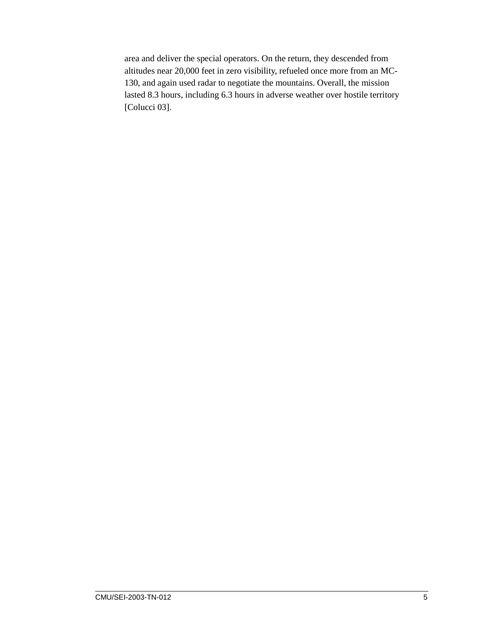area and deliver the special operators. On the return, they descended from altitudes near 20,000 feet in zero visibility, refueled once more from an MC-130, and again used radar to negotiate the mountains. Overall, the mission lasted 8.3 hours, including 6.3 hours in adverse weather over hostile territory [Colucci 03].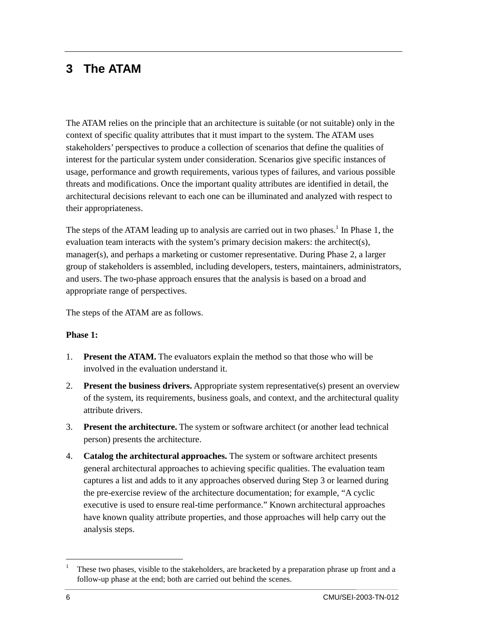### **3 The ATAM**

The ATAM relies on the principle that an architecture is suitable (or not suitable) only in the context of specific quality attributes that it must impart to the system. The ATAM uses stakeholders' perspectives to produce a collection of scenarios that define the qualities of interest for the particular system under consideration. Scenarios give specific instances of usage, performance and growth requirements, various types of failures, and various possible threats and modifications. Once the important quality attributes are identified in detail, the architectural decisions relevant to each one can be illuminated and analyzed with respect to their appropriateness.

The steps of the ATAM leading up to analysis are carried out in two phases.<sup>1</sup> In Phase 1, the evaluation team interacts with the system's primary decision makers: the architect(s), manager(s), and perhaps a marketing or customer representative. During Phase 2, a larger group of stakeholders is assembled, including developers, testers, maintainers, administrators, and users. The two-phase approach ensures that the analysis is based on a broad and appropriate range of perspectives.

The steps of the ATAM are as follows.

#### **Phase 1:**

- 1. **Present the ATAM.** The evaluators explain the method so that those who will be involved in the evaluation understand it.
- 2. **Present the business drivers.** Appropriate system representative(s) present an overview of the system, its requirements, business goals, and context, and the architectural quality attribute drivers.
- 3. **Present the architecture.** The system or software architect (or another lead technical person) presents the architecture.
- 4. **Catalog the architectural approaches.** The system or software architect presents general architectural approaches to achieving specific qualities. The evaluation team captures a list and adds to it any approaches observed during Step 3 or learned during the pre-exercise review of the architecture documentation; for example, "A cyclic executive is used to ensure real-time performance." Known architectural approaches have known quality attribute properties, and those approaches will help carry out the analysis steps.

 $\overline{a}$ 

<sup>1</sup> These two phases, visible to the stakeholders, are bracketed by a preparation phrase up front and a follow-up phase at the end; both are carried out behind the scenes.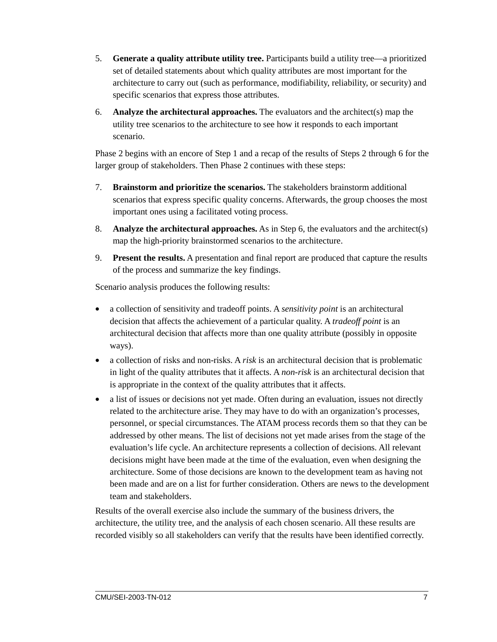- 5. **Generate a quality attribute utility tree.** Participants build a utility tree—a prioritized set of detailed statements about which quality attributes are most important for the architecture to carry out (such as performance, modifiability, reliability, or security) and specific scenarios that express those attributes.
- 6. **Analyze the architectural approaches.** The evaluators and the architect(s) map the utility tree scenarios to the architecture to see how it responds to each important scenario.

Phase 2 begins with an encore of Step 1 and a recap of the results of Steps 2 through 6 for the larger group of stakeholders. Then Phase 2 continues with these steps:

- 7. **Brainstorm and prioritize the scenarios.** The stakeholders brainstorm additional scenarios that express specific quality concerns. Afterwards, the group chooses the most important ones using a facilitated voting process.
- 8. **Analyze the architectural approaches.** As in Step 6, the evaluators and the architect(s) map the high-priority brainstormed scenarios to the architecture.
- 9. **Present the results.** A presentation and final report are produced that capture the results of the process and summarize the key findings.

Scenario analysis produces the following results:

- a collection of sensitivity and tradeoff points. A *sensitivity point* is an architectural decision that affects the achievement of a particular quality. A *tradeoff point* is an architectural decision that affects more than one quality attribute (possibly in opposite ways).
- a collection of risks and non-risks. A *risk* is an architectural decision that is problematic in light of the quality attributes that it affects. A *non-risk* is an architectural decision that is appropriate in the context of the quality attributes that it affects.
- a list of issues or decisions not yet made. Often during an evaluation, issues not directly related to the architecture arise. They may have to do with an organization's processes, personnel, or special circumstances. The ATAM process records them so that they can be addressed by other means. The list of decisions not yet made arises from the stage of the evaluation's life cycle. An architecture represents a collection of decisions. All relevant decisions might have been made at the time of the evaluation, even when designing the architecture. Some of those decisions are known to the development team as having not been made and are on a list for further consideration. Others are news to the development team and stakeholders.

Results of the overall exercise also include the summary of the business drivers, the architecture, the utility tree, and the analysis of each chosen scenario. All these results are recorded visibly so all stakeholders can verify that the results have been identified correctly.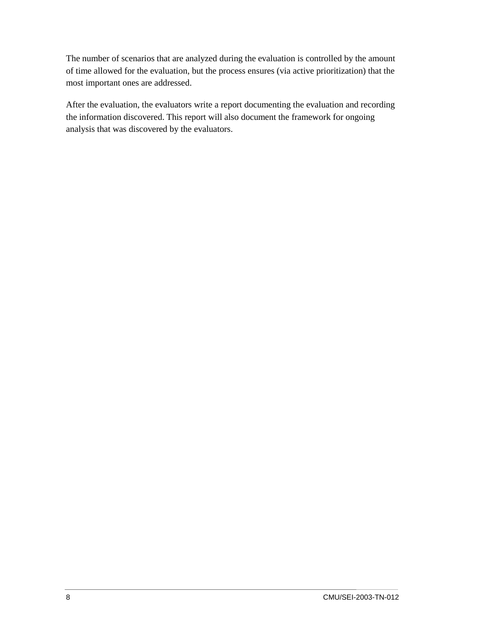The number of scenarios that are analyzed during the evaluation is controlled by the amount of time allowed for the evaluation, but the process ensures (via active prioritization) that the most important ones are addressed.

After the evaluation, the evaluators write a report documenting the evaluation and recording the information discovered. This report will also document the framework for ongoing analysis that was discovered by the evaluators.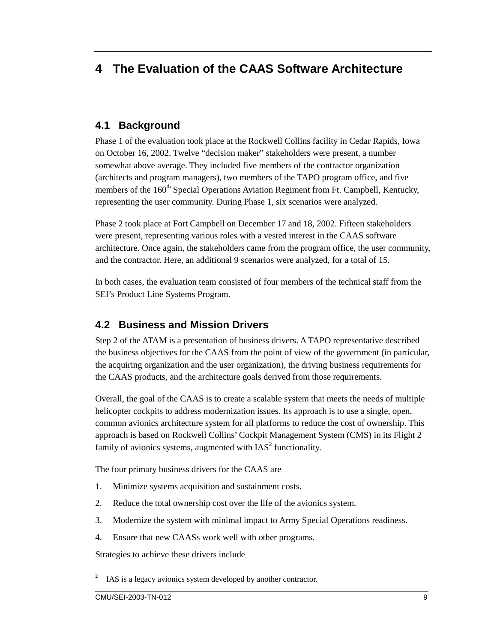### **4 The Evaluation of the CAAS Software Architecture**

#### **4.1 Background**

Phase 1 of the evaluation took place at the Rockwell Collins facility in Cedar Rapids, Iowa on October 16, 2002. Twelve "decision maker" stakeholders were present, a number somewhat above average. They included five members of the contractor organization (architects and program managers), two members of the TAPO program office, and five members of the 160<sup>th</sup> Special Operations Aviation Regiment from Ft. Campbell, Kentucky, representing the user community. During Phase 1, six scenarios were analyzed.

Phase 2 took place at Fort Campbell on December 17 and 18, 2002. Fifteen stakeholders were present, representing various roles with a vested interest in the CAAS software architecture. Once again, the stakeholders came from the program office, the user community, and the contractor. Here, an additional 9 scenarios were analyzed, for a total of 15.

In both cases, the evaluation team consisted of four members of the technical staff from the SEI's Product Line Systems Program.

#### **4.2 Business and Mission Drivers**

Step 2 of the ATAM is a presentation of business drivers. A TAPO representative described the business objectives for the CAAS from the point of view of the government (in particular, the acquiring organization and the user organization), the driving business requirements for the CAAS products, and the architecture goals derived from those requirements.

Overall, the goal of the CAAS is to create a scalable system that meets the needs of multiple helicopter cockpits to address modernization issues. Its approach is to use a single, open, common avionics architecture system for all platforms to reduce the cost of ownership. This approach is based on Rockwell Collins' Cockpit Management System (CMS) in its Flight 2 family of avionics systems, augmented with  $IAS<sup>2</sup>$  functionality.

The four primary business drivers for the CAAS are

- 1. Minimize systems acquisition and sustainment costs.
- 2. Reduce the total ownership cost over the life of the avionics system.
- 3. Modernize the system with minimal impact to Army Special Operations readiness.
- 4. Ensure that new CAASs work well with other programs.

Strategies to achieve these drivers include

 $\overline{a}$ 2 IAS is a legacy avionics system developed by another contractor.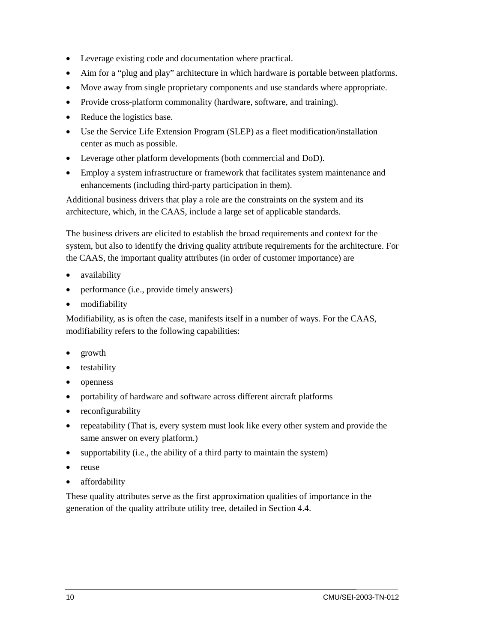- Leverage existing code and documentation where practical.
- Aim for a "plug and play" architecture in which hardware is portable between platforms.
- Move away from single proprietary components and use standards where appropriate.
- Provide cross-platform commonality (hardware, software, and training).
- Reduce the logistics base.
- Use the Service Life Extension Program (SLEP) as a fleet modification/installation center as much as possible.
- Leverage other platform developments (both commercial and DoD).
- Employ a system infrastructure or framework that facilitates system maintenance and enhancements (including third-party participation in them).

Additional business drivers that play a role are the constraints on the system and its architecture, which, in the CAAS, include a large set of applicable standards.

The business drivers are elicited to establish the broad requirements and context for the system, but also to identify the driving quality attribute requirements for the architecture. For the CAAS, the important quality attributes (in order of customer importance) are

- availability
- performance (i.e., provide timely answers)
- modifiability

Modifiability, as is often the case, manifests itself in a number of ways. For the CAAS, modifiability refers to the following capabilities:

- growth
- testability
- openness
- portability of hardware and software across different aircraft platforms
- reconfigurability
- repeatability (That is, every system must look like every other system and provide the same answer on every platform.)
- supportability (i.e., the ability of a third party to maintain the system)
- reuse
- affordability

These quality attributes serve as the first approximation qualities of importance in the generation of the quality attribute utility tree, detailed in Section 4.4.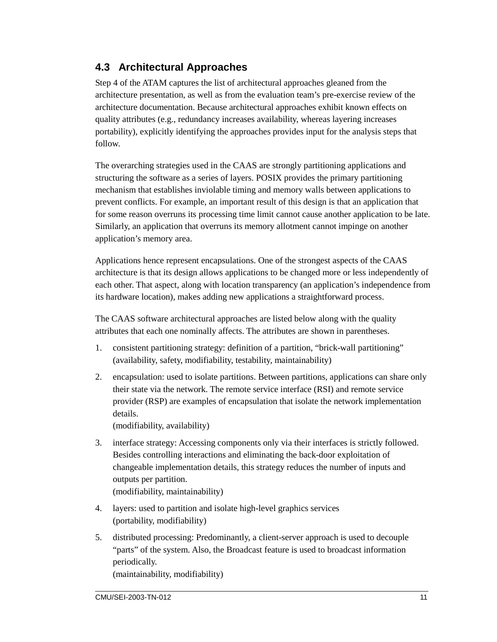### **4.3 Architectural Approaches**

Step 4 of the ATAM captures the list of architectural approaches gleaned from the architecture presentation, as well as from the evaluation team's pre-exercise review of the architecture documentation. Because architectural approaches exhibit known effects on quality attributes (e.g., redundancy increases availability, whereas layering increases portability), explicitly identifying the approaches provides input for the analysis steps that follow.

The overarching strategies used in the CAAS are strongly partitioning applications and structuring the software as a series of layers. POSIX provides the primary partitioning mechanism that establishes inviolable timing and memory walls between applications to prevent conflicts. For example, an important result of this design is that an application that for some reason overruns its processing time limit cannot cause another application to be late. Similarly, an application that overruns its memory allotment cannot impinge on another application's memory area.

Applications hence represent encapsulations. One of the strongest aspects of the CAAS architecture is that its design allows applications to be changed more or less independently of each other. That aspect, along with location transparency (an application's independence from its hardware location), makes adding new applications a straightforward process.

The CAAS software architectural approaches are listed below along with the quality attributes that each one nominally affects. The attributes are shown in parentheses.

- 1. consistent partitioning strategy: definition of a partition, "brick-wall partitioning" (availability, safety, modifiability, testability, maintainability)
- 2. encapsulation: used to isolate partitions. Between partitions, applications can share only their state via the network. The remote service interface (RSI) and remote service provider (RSP) are examples of encapsulation that isolate the network implementation details.

(modifiability, availability)

- 3. interface strategy: Accessing components only via their interfaces is strictly followed. Besides controlling interactions and eliminating the back-door exploitation of changeable implementation details, this strategy reduces the number of inputs and outputs per partition. (modifiability, maintainability)
- 4. layers: used to partition and isolate high-level graphics services (portability, modifiability)
- 5. distributed processing: Predominantly, a client-server approach is used to decouple "parts" of the system. Also, the Broadcast feature is used to broadcast information periodically. (maintainability, modifiability)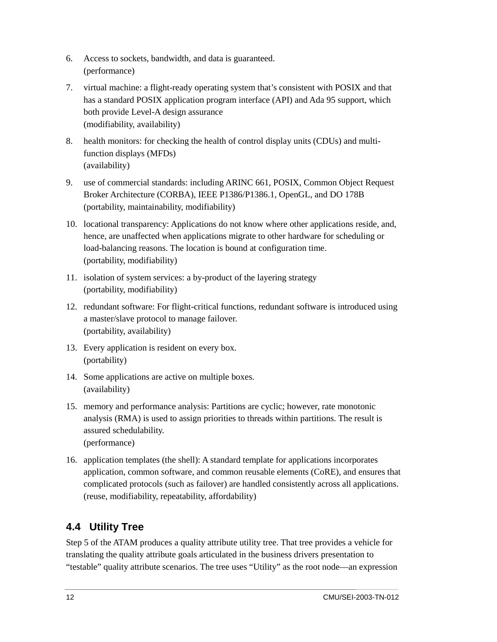- 6. Access to sockets, bandwidth, and data is guaranteed. (performance)
- 7. virtual machine: a flight-ready operating system that's consistent with POSIX and that has a standard POSIX application program interface (API) and Ada 95 support, which both provide Level-A design assurance (modifiability, availability)
- 8. health monitors: for checking the health of control display units (CDUs) and multifunction displays (MFDs) (availability)
- 9. use of commercial standards: including ARINC 661, POSIX, Common Object Request Broker Architecture (CORBA), IEEE P1386/P1386.1, OpenGL, and DO 178B (portability, maintainability, modifiability)
- 10. locational transparency: Applications do not know where other applications reside, and, hence, are unaffected when applications migrate to other hardware for scheduling or load-balancing reasons. The location is bound at configuration time. (portability, modifiability)
- 11. isolation of system services: a by-product of the layering strategy (portability, modifiability)
- 12. redundant software: For flight-critical functions, redundant software is introduced using a master/slave protocol to manage failover. (portability, availability)
- 13. Every application is resident on every box. (portability)
- 14. Some applications are active on multiple boxes. (availability)
- 15. memory and performance analysis: Partitions are cyclic; however, rate monotonic analysis (RMA) is used to assign priorities to threads within partitions. The result is assured schedulability. (performance)
- 16. application templates (the shell): A standard template for applications incorporates application, common software, and common reusable elements (CoRE), and ensures that complicated protocols (such as failover) are handled consistently across all applications. (reuse, modifiability, repeatability, affordability)

### **4.4 Utility Tree**

Step 5 of the ATAM produces a quality attribute utility tree. That tree provides a vehicle for translating the quality attribute goals articulated in the business drivers presentation to "testable" quality attribute scenarios. The tree uses "Utility" as the root node—an expression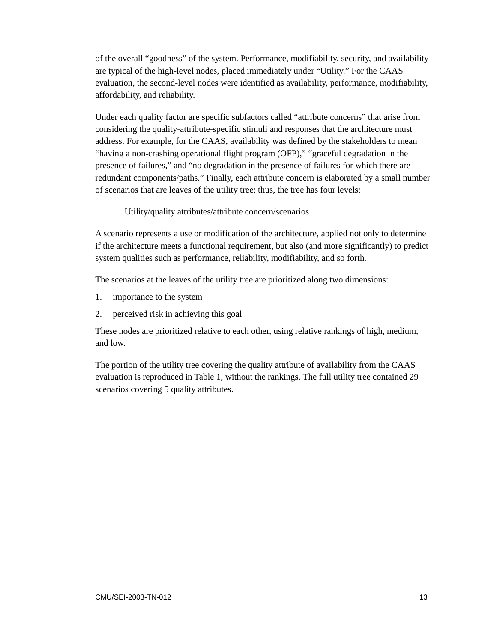of the overall "goodness" of the system. Performance, modifiability, security, and availability are typical of the high-level nodes, placed immediately under "Utility." For the CAAS evaluation, the second-level nodes were identified as availability, performance, modifiability, affordability, and reliability.

Under each quality factor are specific subfactors called "attribute concerns" that arise from considering the quality-attribute-specific stimuli and responses that the architecture must address. For example, for the CAAS, availability was defined by the stakeholders to mean "having a non-crashing operational flight program (OFP)," "graceful degradation in the presence of failures," and "no degradation in the presence of failures for which there are redundant components/paths." Finally, each attribute concern is elaborated by a small number of scenarios that are leaves of the utility tree; thus, the tree has four levels:

#### Utility/quality attributes/attribute concern/scenarios

A scenario represents a use or modification of the architecture, applied not only to determine if the architecture meets a functional requirement, but also (and more significantly) to predict system qualities such as performance, reliability, modifiability, and so forth.

The scenarios at the leaves of the utility tree are prioritized along two dimensions:

- 1. importance to the system
- 2. perceived risk in achieving this goal

These nodes are prioritized relative to each other, using relative rankings of high, medium, and low.

The portion of the utility tree covering the quality attribute of availability from the CAAS evaluation is reproduced in Table 1, without the rankings. The full utility tree contained 29 scenarios covering 5 quality attributes.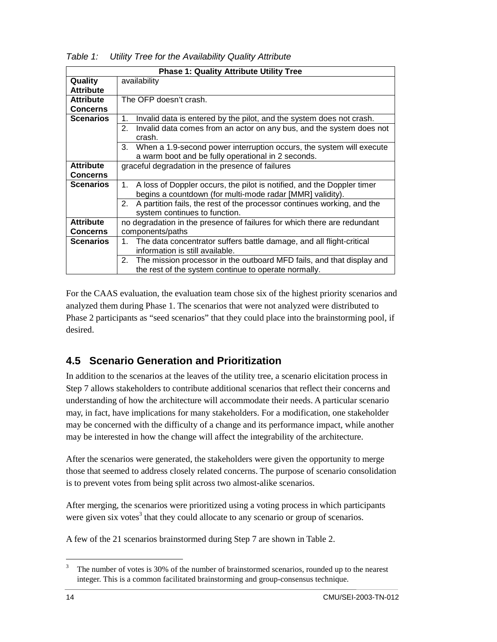| <b>Phase 1: Quality Attribute Utility Tree</b> |                                                                                                                                                                                                                                                                                                        |  |  |  |  |
|------------------------------------------------|--------------------------------------------------------------------------------------------------------------------------------------------------------------------------------------------------------------------------------------------------------------------------------------------------------|--|--|--|--|
| Quality<br><b>Attribute</b>                    | availability                                                                                                                                                                                                                                                                                           |  |  |  |  |
| <b>Attribute</b><br><b>Concerns</b>            | The OFP doesn't crash.                                                                                                                                                                                                                                                                                 |  |  |  |  |
| <b>Scenarios</b>                               | Invalid data is entered by the pilot, and the system does not crash.<br>1.<br>2.<br>Invalid data comes from an actor on any bus, and the system does not<br>crash.<br>When a 1.9-second power interruption occurs, the system will execute<br>3.<br>a warm boot and be fully operational in 2 seconds. |  |  |  |  |
| <b>Attribute</b><br><b>Concerns</b>            | graceful degradation in the presence of failures                                                                                                                                                                                                                                                       |  |  |  |  |
| <b>Scenarios</b>                               | A loss of Doppler occurs, the pilot is notified, and the Doppler timer<br>1.<br>begins a countdown (for multi-mode radar [MMR] validity).<br>A partition fails, the rest of the processor continues working, and the<br>2.<br>system continues to function.                                            |  |  |  |  |
| <b>Attribute</b><br><b>Concerns</b>            | no degradation in the presence of failures for which there are redundant<br>components/paths                                                                                                                                                                                                           |  |  |  |  |
| <b>Scenarios</b>                               | 1. The data concentrator suffers battle damage, and all flight-critical<br>information is still available.<br>2. The mission processor in the outboard MFD fails, and that display and<br>the rest of the system continue to operate normally.                                                         |  |  |  |  |

*Table 1: Utility Tree for the Availability Quality Attribute* 

For the CAAS evaluation, the evaluation team chose six of the highest priority scenarios and analyzed them during Phase 1. The scenarios that were not analyzed were distributed to Phase 2 participants as "seed scenarios" that they could place into the brainstorming pool, if desired.

#### **4.5 Scenario Generation and Prioritization**

In addition to the scenarios at the leaves of the utility tree, a scenario elicitation process in Step 7 allows stakeholders to contribute additional scenarios that reflect their concerns and understanding of how the architecture will accommodate their needs. A particular scenario may, in fact, have implications for many stakeholders. For a modification, one stakeholder may be concerned with the difficulty of a change and its performance impact, while another may be interested in how the change will affect the integrability of the architecture.

After the scenarios were generated, the stakeholders were given the opportunity to merge those that seemed to address closely related concerns. The purpose of scenario consolidation is to prevent votes from being split across two almost-alike scenarios.

After merging, the scenarios were prioritized using a voting process in which participants were given six votes<sup>3</sup> that they could allocate to any scenario or group of scenarios.

A few of the 21 scenarios brainstormed during Step 7 are shown in Table 2.

 $\overline{a}$ 3 The number of votes is 30% of the number of brainstormed scenarios, rounded up to the nearest integer. This is a common facilitated brainstorming and group-consensus technique.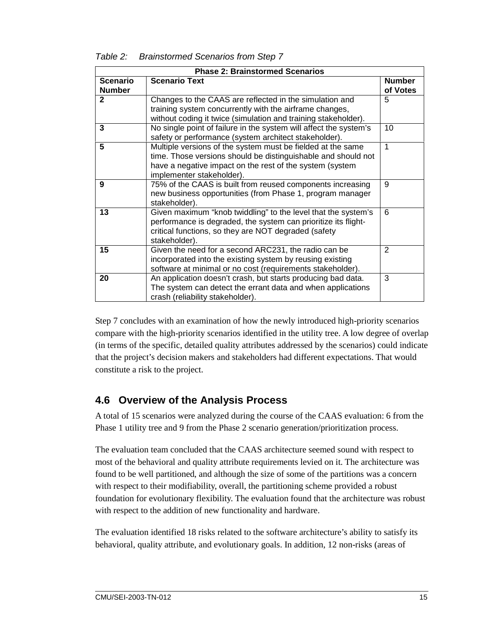| Table 2: | <b>Brainstormed Scenarios from Step 7</b> |  |
|----------|-------------------------------------------|--|
|          |                                           |  |

| <b>Phase 2: Brainstormed Scenarios</b> |                                                                                                                                                                                                                       |                           |  |
|----------------------------------------|-----------------------------------------------------------------------------------------------------------------------------------------------------------------------------------------------------------------------|---------------------------|--|
| <b>Scenario</b><br><b>Number</b>       | <b>Scenario Text</b>                                                                                                                                                                                                  | <b>Number</b><br>of Votes |  |
| $\mathbf{2}$                           | Changes to the CAAS are reflected in the simulation and<br>training system concurrently with the airframe changes,<br>without coding it twice (simulation and training stakeholder).                                  | 5                         |  |
| 3                                      | No single point of failure in the system will affect the system's<br>safety or performance (system architect stakeholder).                                                                                            | 10                        |  |
| 5                                      | Multiple versions of the system must be fielded at the same<br>time. Those versions should be distinguishable and should not<br>have a negative impact on the rest of the system (system<br>implementer stakeholder). | 1                         |  |
| 9                                      | 75% of the CAAS is built from reused components increasing<br>new business opportunities (from Phase 1, program manager<br>stakeholder).                                                                              | 9                         |  |
| 13                                     | Given maximum "knob twiddling" to the level that the system's<br>performance is degraded, the system can prioritize its flight-<br>critical functions, so they are NOT degraded (safety<br>stakeholder).              | 6                         |  |
| 15                                     | Given the need for a second ARC231, the radio can be<br>incorporated into the existing system by reusing existing<br>software at minimal or no cost (requirements stakeholder).                                       | $\overline{2}$            |  |
| 20                                     | An application doesn't crash, but starts producing bad data.<br>The system can detect the errant data and when applications<br>crash (reliability stakeholder).                                                       | 3                         |  |

Step 7 concludes with an examination of how the newly introduced high-priority scenarios compare with the high-priority scenarios identified in the utility tree. A low degree of overlap (in terms of the specific, detailed quality attributes addressed by the scenarios) could indicate that the project's decision makers and stakeholders had different expectations. That would constitute a risk to the project.

### **4.6 Overview of the Analysis Process**

A total of 15 scenarios were analyzed during the course of the CAAS evaluation: 6 from the Phase 1 utility tree and 9 from the Phase 2 scenario generation/prioritization process.

The evaluation team concluded that the CAAS architecture seemed sound with respect to most of the behavioral and quality attribute requirements levied on it. The architecture was found to be well partitioned, and although the size of some of the partitions was a concern with respect to their modifiability, overall, the partitioning scheme provided a robust foundation for evolutionary flexibility. The evaluation found that the architecture was robust with respect to the addition of new functionality and hardware.

The evaluation identified 18 risks related to the software architecture's ability to satisfy its behavioral, quality attribute, and evolutionary goals. In addition, 12 non-risks (areas of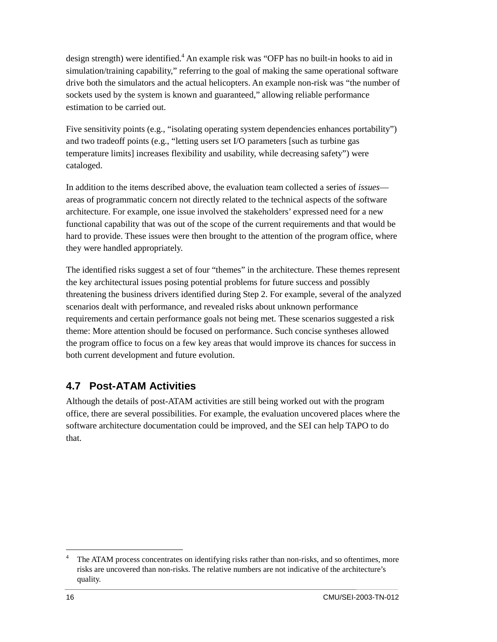design strength) were identified.<sup>4</sup> An example risk was "OFP has no built-in hooks to aid in simulation/training capability," referring to the goal of making the same operational software drive both the simulators and the actual helicopters. An example non-risk was "the number of sockets used by the system is known and guaranteed," allowing reliable performance estimation to be carried out.

Five sensitivity points (e.g., "isolating operating system dependencies enhances portability") and two tradeoff points (e.g., "letting users set I/O parameters [such as turbine gas temperature limits] increases flexibility and usability, while decreasing safety") were cataloged.

In addition to the items described above, the evaluation team collected a series of *issues* areas of programmatic concern not directly related to the technical aspects of the software architecture. For example, one issue involved the stakeholders' expressed need for a new functional capability that was out of the scope of the current requirements and that would be hard to provide. These issues were then brought to the attention of the program office, where they were handled appropriately.

The identified risks suggest a set of four "themes" in the architecture. These themes represent the key architectural issues posing potential problems for future success and possibly threatening the business drivers identified during Step 2. For example, several of the analyzed scenarios dealt with performance, and revealed risks about unknown performance requirements and certain performance goals not being met. These scenarios suggested a risk theme: More attention should be focused on performance. Such concise syntheses allowed the program office to focus on a few key areas that would improve its chances for success in both current development and future evolution.

#### **4.7 Post-ATAM Activities**

Although the details of post-ATAM activities are still being worked out with the program office, there are several possibilities. For example, the evaluation uncovered places where the software architecture documentation could be improved, and the SEI can help TAPO to do that.

 $\overline{a}$ 4 The ATAM process concentrates on identifying risks rather than non-risks, and so oftentimes, more risks are uncovered than non-risks. The relative numbers are not indicative of the architecture's quality.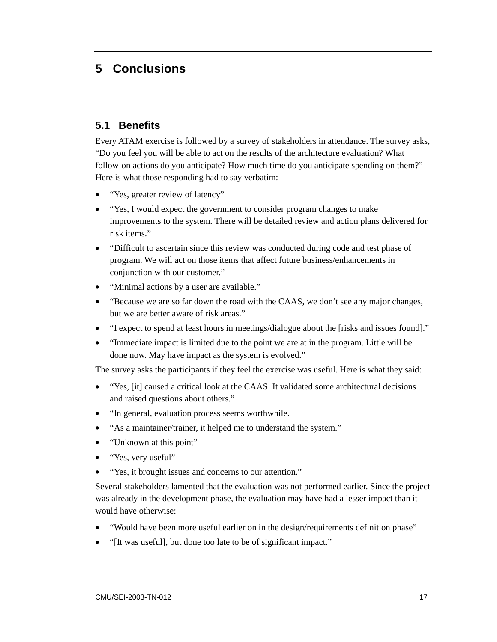## **5 Conclusions**

#### **5.1 Benefits**

Every ATAM exercise is followed by a survey of stakeholders in attendance. The survey asks, "Do you feel you will be able to act on the results of the architecture evaluation? What follow-on actions do you anticipate? How much time do you anticipate spending on them?" Here is what those responding had to say verbatim:

- "Yes, greater review of latency"
- "Yes, I would expect the government to consider program changes to make improvements to the system. There will be detailed review and action plans delivered for risk items."
- "Difficult to ascertain since this review was conducted during code and test phase of program. We will act on those items that affect future business/enhancements in conjunction with our customer."
- "Minimal actions by a user are available."
- "Because we are so far down the road with the CAAS, we don't see any major changes, but we are better aware of risk areas."
- "I expect to spend at least hours in meetings/dialogue about the [risks and issues found]."
- "Immediate impact is limited due to the point we are at in the program. Little will be done now. May have impact as the system is evolved."

The survey asks the participants if they feel the exercise was useful. Here is what they said:

- "Yes, [it] caused a critical look at the CAAS. It validated some architectural decisions and raised questions about others."
- "In general, evaluation process seems worthwhile.
- "As a maintainer/trainer, it helped me to understand the system."
- "Unknown at this point"
- "Yes, very useful"
- "Yes, it brought issues and concerns to our attention."

Several stakeholders lamented that the evaluation was not performed earlier. Since the project was already in the development phase, the evaluation may have had a lesser impact than it would have otherwise:

- "Would have been more useful earlier on in the design/requirements definition phase"
- "[It was useful], but done too late to be of significant impact."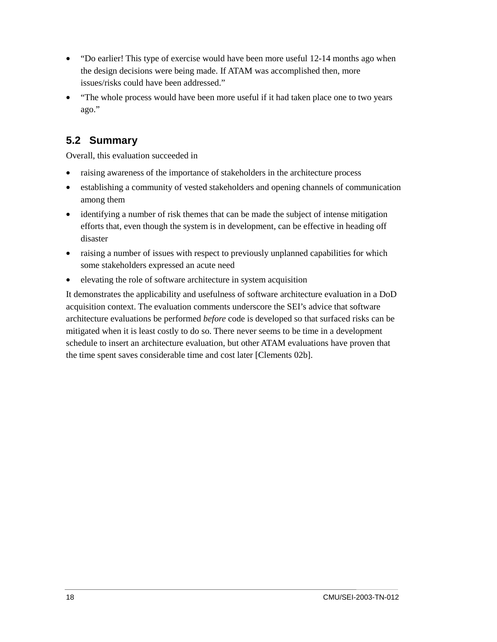- "Do earlier! This type of exercise would have been more useful 12-14 months ago when the design decisions were being made. If ATAM was accomplished then, more issues/risks could have been addressed."
- "The whole process would have been more useful if it had taken place one to two years ago."

### **5.2 Summary**

Overall, this evaluation succeeded in

- raising awareness of the importance of stakeholders in the architecture process
- establishing a community of vested stakeholders and opening channels of communication among them
- identifying a number of risk themes that can be made the subject of intense mitigation efforts that, even though the system is in development, can be effective in heading off disaster
- raising a number of issues with respect to previously unplanned capabilities for which some stakeholders expressed an acute need
- elevating the role of software architecture in system acquisition

It demonstrates the applicability and usefulness of software architecture evaluation in a DoD acquisition context. The evaluation comments underscore the SEI's advice that software architecture evaluations be performed *before* code is developed so that surfaced risks can be mitigated when it is least costly to do so. There never seems to be time in a development schedule to insert an architecture evaluation, but other ATAM evaluations have proven that the time spent saves considerable time and cost later [Clements 02b].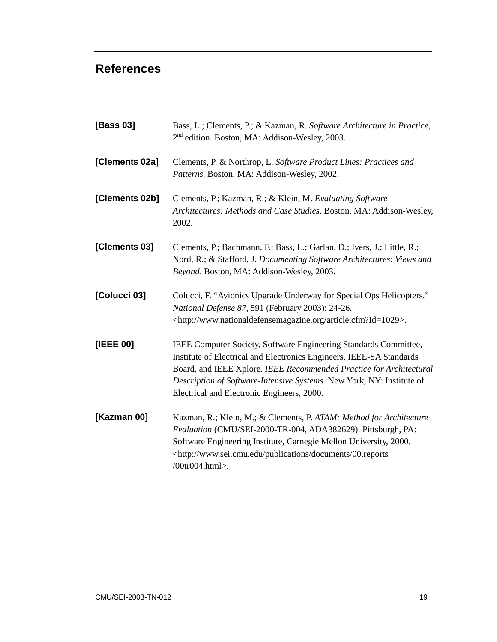### **References**

| [Bass 03]      | Bass, L.; Clements, P.; & Kazman, R. Software Architecture in Practice,<br>2 <sup>nd</sup> edition. Boston, MA: Addison-Wesley, 2003.                                                                                                                                                                                                  |  |  |  |
|----------------|----------------------------------------------------------------------------------------------------------------------------------------------------------------------------------------------------------------------------------------------------------------------------------------------------------------------------------------|--|--|--|
| [Clements 02a] | Clements, P. & Northrop, L. Software Product Lines: Practices and<br>Patterns. Boston, MA: Addison-Wesley, 2002.                                                                                                                                                                                                                       |  |  |  |
| [Clements 02b] | Clements, P.; Kazman, R.; & Klein, M. Evaluating Software<br>Architectures: Methods and Case Studies. Boston, MA: Addison-Wesley,<br>2002.                                                                                                                                                                                             |  |  |  |
| [Clements 03]  | Clements, P.; Bachmann, F.; Bass, L.; Garlan, D.; Ivers, J.; Little, R.;<br>Nord, R.; & Stafford, J. Documenting Software Architectures: Views and<br>Beyond. Boston, MA: Addison-Wesley, 2003.                                                                                                                                        |  |  |  |
| [Colucci 03]   | Colucci, F. "Avionics Upgrade Underway for Special Ops Helicopters."<br>National Defense 87, 591 (February 2003): 24-26.<br><http: article.cfm?id="1029" www.nationaldefensemagazine.org="">.</http:>                                                                                                                                  |  |  |  |
| [IEEE 00]      | IEEE Computer Society, Software Engineering Standards Committee,<br>Institute of Electrical and Electronics Engineers, IEEE-SA Standards<br>Board, and IEEE Xplore. IEEE Recommended Practice for Architectural<br>Description of Software-Intensive Systems. New York, NY: Institute of<br>Electrical and Electronic Engineers, 2000. |  |  |  |
| [Kazman 00]    | Kazman, R.; Klein, M.; & Clements, P. ATAM: Method for Architecture<br>Evaluation (CMU/SEI-2000-TR-004, ADA382629). Pittsburgh, PA:<br>Software Engineering Institute, Carnegie Mellon University, 2000.<br><http: 00.reports<br="" documents="" publications="" www.sei.cmu.edu="">/00tr004.html&gt;.</http:>                         |  |  |  |